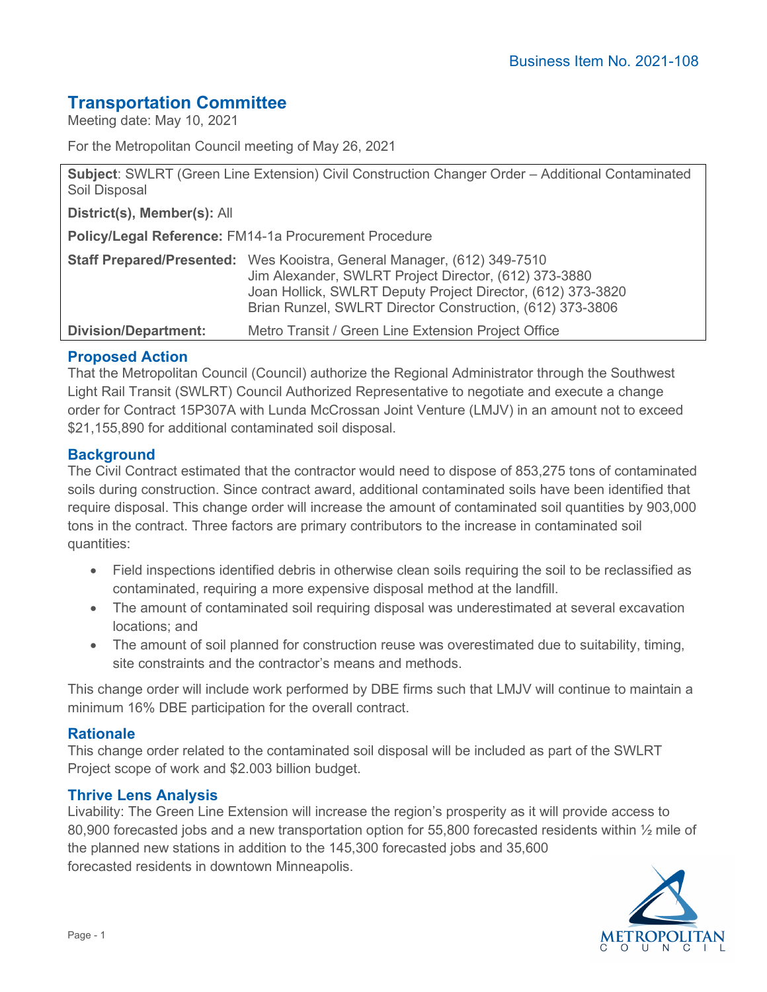# **Transportation Committee**

Meeting date: May 10, 2021

For the Metropolitan Council meeting of May 26, 2021

**Subject**: SWLRT (Green Line Extension) Civil Construction Changer Order – Additional Contaminated Soil Disposal

**District(s), Member(s):** All

**Policy/Legal Reference:** FM14-1a Procurement Procedure

|                             | <b>Staff Prepared/Presented:</b> Wes Kooistra, General Manager, (612) 349-7510<br>Jim Alexander, SWLRT Project Director, (612) 373-3880 |
|-----------------------------|-----------------------------------------------------------------------------------------------------------------------------------------|
|                             | Joan Hollick, SWLRT Deputy Project Director, (612) 373-3820<br>Brian Runzel, SWLRT Director Construction, (612) 373-3806                |
| <b>Division/Department:</b> | Metro Transit / Green Line Extension Project Office                                                                                     |

## **Proposed Action**

That the Metropolitan Council (Council) authorize the Regional Administrator through the Southwest Light Rail Transit (SWLRT) Council Authorized Representative to negotiate and execute a change order for Contract 15P307A with Lunda McCrossan Joint Venture (LMJV) in an amount not to exceed \$21,155,890 for additional contaminated soil disposal.

## **Background**

The Civil Contract estimated that the contractor would need to dispose of 853,275 tons of contaminated soils during construction. Since contract award, additional contaminated soils have been identified that require disposal. This change order will increase the amount of contaminated soil quantities by 903,000 tons in the contract. Three factors are primary contributors to the increase in contaminated soil quantities:

- Field inspections identified debris in otherwise clean soils requiring the soil to be reclassified as contaminated, requiring a more expensive disposal method at the landfill.
- The amount of contaminated soil requiring disposal was underestimated at several excavation locations; and
- The amount of soil planned for construction reuse was overestimated due to suitability, timing, site constraints and the contractor's means and methods.

This change order will include work performed by DBE firms such that LMJV will continue to maintain a minimum 16% DBE participation for the overall contract.

## **Rationale**

This change order related to the contaminated soil disposal will be included as part of the SWLRT Project scope of work and \$2.003 billion budget.

## **Thrive Lens Analysis**

Livability: The Green Line Extension will increase the region's prosperity as it will provide access to 80,900 forecasted jobs and a new transportation option for 55,800 forecasted residents within  $\frac{1}{2}$  mile of the planned new stations in addition to the 145,300 forecasted jobs and 35,600 forecasted residents in downtown Minneapolis.